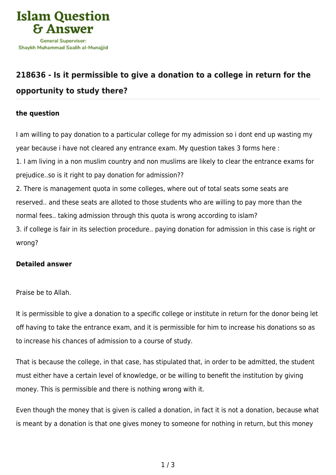

## **[218636 - Is it permissible to give a donation to a college in return for the](https://islamqa.com/en/answers/218636/is-it-permissible-to-give-a-donation-to-a-college-in-return-for-the-opportunity-to-study-there) [opportunity to study there?](https://islamqa.com/en/answers/218636/is-it-permissible-to-give-a-donation-to-a-college-in-return-for-the-opportunity-to-study-there)**

## **the question**

I am willing to pay donation to a particular college for my admission so i dont end up wasting my year because i have not cleared any entrance exam. My question takes 3 forms here :

1. I am living in a non muslim country and non muslims are likely to clear the entrance exams for prejudice..so is it right to pay donation for admission??

2. There is management quota in some colleges, where out of total seats some seats are reserved.. and these seats are alloted to those students who are willing to pay more than the normal fees.. taking admission through this quota is wrong according to islam?

3. if college is fair in its selection procedure.. paying donation for admission in this case is right or wrong?

## **Detailed answer**

Praise be to Allah.

It is permissible to give a donation to a specific college or institute in return for the donor being let off having to take the entrance exam, and it is permissible for him to increase his donations so as to increase his chances of admission to a course of study.

That is because the college, in that case, has stipulated that, in order to be admitted, the student must either have a certain level of knowledge, or be willing to benefit the institution by giving money. This is permissible and there is nothing wrong with it.

Even though the money that is given is called a donation, in fact it is not a donation, because what is meant by a donation is that one gives money to someone for nothing in return, but this money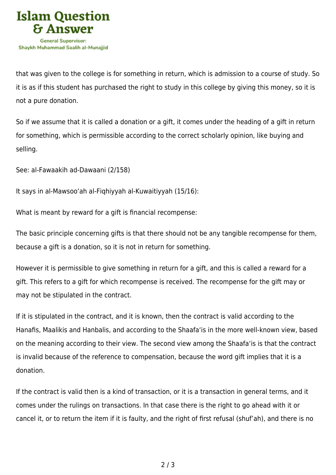

that was given to the college is for something in return, which is admission to a course of study. So it is as if this student has purchased the right to study in this college by giving this money, so it is not a pure donation.

So if we assume that it is called a donation or a gift, it comes under the heading of a gift in return for something, which is permissible according to the correct scholarly opinion, like buying and selling.

See: al-Fawaakih ad-Dawaani (2/158)

It says in al-Mawsoo'ah al-Fiqhiyyah al-Kuwaitiyyah (15/16):

What is meant by reward for a gift is financial recompense:

The basic principle concerning gifts is that there should not be any tangible recompense for them, because a gift is a donation, so it is not in return for something.

However it is permissible to give something in return for a gift, and this is called a reward for a gift. This refers to a gift for which recompense is received. The recompense for the gift may or may not be stipulated in the contract.

If it is stipulated in the contract, and it is known, then the contract is valid according to the Hanafis, Maalikis and Hanbalis, and according to the Shaafa'is in the more well-known view, based on the meaning according to their view. The second view among the Shaafa'is is that the contract is invalid because of the reference to compensation, because the word gift implies that it is a donation.

If the contract is valid then is a kind of transaction, or it is a transaction in general terms, and it comes under the rulings on transactions. In that case there is the right to go ahead with it or cancel it, or to return the item if it is faulty, and the right of first refusal (shuf'ah), and there is no